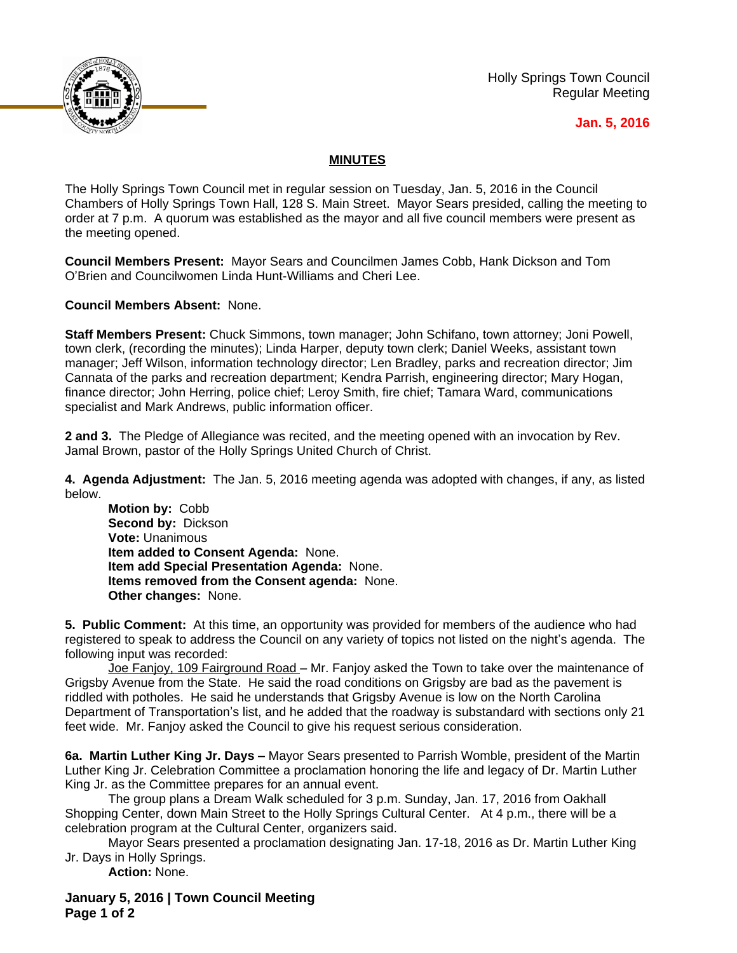

Holly Springs Town Council Regular Meeting

## **Jan. 5, 2016**

## **MINUTES**

The Holly Springs Town Council met in regular session on Tuesday, Jan. 5, 2016 in the Council Chambers of Holly Springs Town Hall, 128 S. Main Street. Mayor Sears presided, calling the meeting to order at 7 p.m. A quorum was established as the mayor and all five council members were present as the meeting opened.

**Council Members Present:** Mayor Sears and Councilmen James Cobb, Hank Dickson and Tom O'Brien and Councilwomen Linda Hunt-Williams and Cheri Lee.

**Council Members Absent:** None.

**Staff Members Present:** Chuck Simmons, town manager; John Schifano, town attorney; Joni Powell, town clerk, (recording the minutes); Linda Harper, deputy town clerk; Daniel Weeks, assistant town manager; Jeff Wilson, information technology director; Len Bradley, parks and recreation director; Jim Cannata of the parks and recreation department; Kendra Parrish, engineering director; Mary Hogan, finance director; John Herring, police chief; Leroy Smith, fire chief; Tamara Ward, communications specialist and Mark Andrews, public information officer.

**2 and 3.** The Pledge of Allegiance was recited, and the meeting opened with an invocation by Rev. Jamal Brown, pastor of the Holly Springs United Church of Christ.

**4. Agenda Adjustment:** The Jan. 5, 2016 meeting agenda was adopted with changes, if any, as listed below.

**Motion by:** Cobb **Second by:** Dickson **Vote:** Unanimous **Item added to Consent Agenda:** None. **Item add Special Presentation Agenda:** None. **Items removed from the Consent agenda:** None. **Other changes:** None.

**5. Public Comment:** At this time, an opportunity was provided for members of the audience who had registered to speak to address the Council on any variety of topics not listed on the night's agenda. The following input was recorded:

Joe Fanjoy, 109 Fairground Road - Mr. Fanjoy asked the Town to take over the maintenance of Grigsby Avenue from the State. He said the road conditions on Grigsby are bad as the pavement is riddled with potholes. He said he understands that Grigsby Avenue is low on the North Carolina Department of Transportation's list, and he added that the roadway is substandard with sections only 21 feet wide. Mr. Fanjoy asked the Council to give his request serious consideration.

**6a. Martin Luther King Jr. Days –** Mayor Sears presented to Parrish Womble, president of the Martin Luther King Jr. Celebration Committee a proclamation honoring the life and legacy of Dr. Martin Luther King Jr. as the Committee prepares for an annual event.

The group plans a Dream Walk scheduled for 3 p.m. Sunday, Jan. 17, 2016 from Oakhall Shopping Center, down Main Street to the Holly Springs Cultural Center. At 4 p.m., there will be a celebration program at the Cultural Center, organizers said.

Mayor Sears presented a proclamation designating Jan. 17-18, 2016 as Dr. Martin Luther King Jr. Days in Holly Springs.

**Action:** None.

**January 5, 2016 | Town Council Meeting Page 1 of 2**